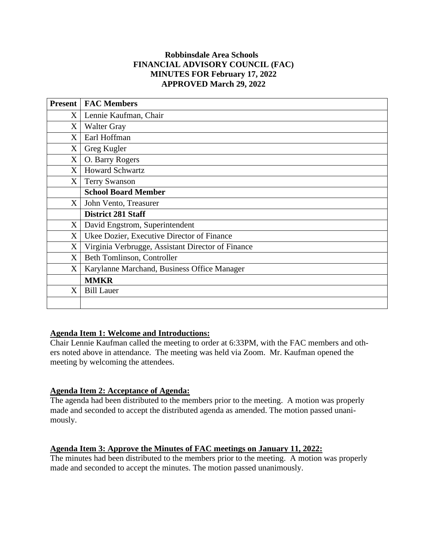### **Robbinsdale Area Schools FINANCIAL ADVISORY COUNCIL (FAC) MINUTES FOR February 17, 2022 APPROVED March 29, 2022**

| <b>Present</b>    | <b>FAC Members</b>                                |
|-------------------|---------------------------------------------------|
| $X_{\mathcal{C}}$ | Lennie Kaufman, Chair                             |
| X                 | <b>Walter Gray</b>                                |
| X                 | Earl Hoffman                                      |
| X                 | Greg Kugler                                       |
| X                 | O. Barry Rogers                                   |
| X                 | <b>Howard Schwartz</b>                            |
| X                 | Terry Swanson                                     |
|                   | <b>School Board Member</b>                        |
| X                 | John Vento, Treasurer                             |
|                   | <b>District 281 Staff</b>                         |
| X                 | David Engstrom, Superintendent                    |
| X                 | Ukee Dozier, Executive Director of Finance        |
| X                 | Virginia Verbrugge, Assistant Director of Finance |
| X                 | Beth Tomlinson, Controller                        |
| X                 | Karylanne Marchand, Business Office Manager       |
|                   | <b>MMKR</b>                                       |
| X                 | <b>Bill Lauer</b>                                 |
|                   |                                                   |

## **Agenda Item 1: Welcome and Introductions:**

Chair Lennie Kaufman called the meeting to order at 6:33PM, with the FAC members and others noted above in attendance. The meeting was held via Zoom. Mr. Kaufman opened the meeting by welcoming the attendees.

## **Agenda Item 2: Acceptance of Agenda:**

The agenda had been distributed to the members prior to the meeting. A motion was properly made and seconded to accept the distributed agenda as amended. The motion passed unanimously.

# **Agenda Item 3: Approve the Minutes of FAC meetings on January 11, 2022:**

The minutes had been distributed to the members prior to the meeting. A motion was properly made and seconded to accept the minutes. The motion passed unanimously.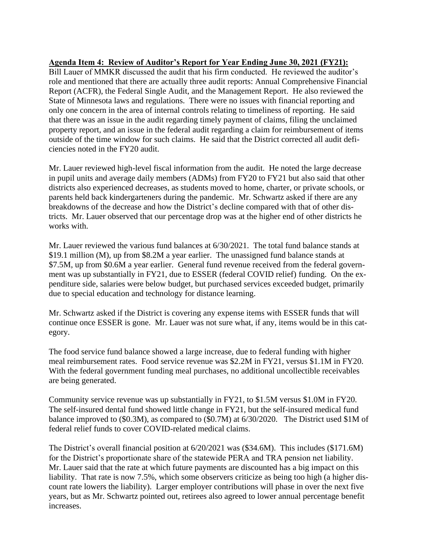## **Agenda Item 4: Review of Auditor's Report for Year Ending June 30, 2021 (FY21):**

Bill Lauer of MMKR discussed the audit that his firm conducted. He reviewed the auditor's role and mentioned that there are actually three audit reports: Annual Comprehensive Financial Report (ACFR), the Federal Single Audit, and the Management Report. He also reviewed the State of Minnesota laws and regulations. There were no issues with financial reporting and only one concern in the area of internal controls relating to timeliness of reporting. He said that there was an issue in the audit regarding timely payment of claims, filing the unclaimed property report, and an issue in the federal audit regarding a claim for reimbursement of items outside of the time window for such claims. He said that the District corrected all audit deficiencies noted in the FY20 audit.

Mr. Lauer reviewed high-level fiscal information from the audit. He noted the large decrease in pupil units and average daily members (ADMs) from FY20 to FY21 but also said that other districts also experienced decreases, as students moved to home, charter, or private schools, or parents held back kindergarteners during the pandemic. Mr. Schwartz asked if there are any breakdowns of the decrease and how the District's decline compared with that of other districts. Mr. Lauer observed that our percentage drop was at the higher end of other districts he works with.

Mr. Lauer reviewed the various fund balances at 6/30/2021. The total fund balance stands at \$19.1 million (M), up from \$8.2M a year earlier. The unassigned fund balance stands at \$7.5M, up from \$0.6M a year earlier. General fund revenue received from the federal government was up substantially in FY21, due to ESSER (federal COVID relief) funding. On the expenditure side, salaries were below budget, but purchased services exceeded budget, primarily due to special education and technology for distance learning.

Mr. Schwartz asked if the District is covering any expense items with ESSER funds that will continue once ESSER is gone. Mr. Lauer was not sure what, if any, items would be in this category.

The food service fund balance showed a large increase, due to federal funding with higher meal reimbursement rates. Food service revenue was \$2.2M in FY21, versus \$1.1M in FY20. With the federal government funding meal purchases, no additional uncollectible receivables are being generated.

Community service revenue was up substantially in FY21, to \$1.5M versus \$1.0M in FY20. The self-insured dental fund showed little change in FY21, but the self-insured medical fund balance improved to (\$0.3M), as compared to (\$0.7M) at 6/30/2020. The District used \$1M of federal relief funds to cover COVID-related medical claims.

The District's overall financial position at 6/20/2021 was (\$34.6M). This includes (\$171.6M) for the District's proportionate share of the statewide PERA and TRA pension net liability. Mr. Lauer said that the rate at which future payments are discounted has a big impact on this liability. That rate is now 7.5%, which some observers criticize as being too high (a higher discount rate lowers the liability). Larger employer contributions will phase in over the next five years, but as Mr. Schwartz pointed out, retirees also agreed to lower annual percentage benefit increases.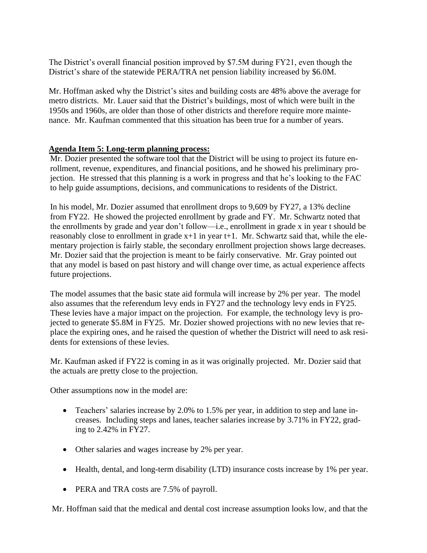The District's overall financial position improved by \$7.5M during FY21, even though the District's share of the statewide PERA/TRA net pension liability increased by \$6.0M.

Mr. Hoffman asked why the District's sites and building costs are 48% above the average for metro districts. Mr. Lauer said that the District's buildings, most of which were built in the 1950s and 1960s, are older than those of other districts and therefore require more maintenance. Mr. Kaufman commented that this situation has been true for a number of years.

### **Agenda Item 5: Long-term planning process:**

Mr. Dozier presented the software tool that the District will be using to project its future enrollment, revenue, expenditures, and financial positions, and he showed his preliminary projection. He stressed that this planning is a work in progress and that he's looking to the FAC to help guide assumptions, decisions, and communications to residents of the District.

In his model, Mr. Dozier assumed that enrollment drops to 9,609 by FY27, a 13% decline from FY22. He showed the projected enrollment by grade and FY. Mr. Schwartz noted that the enrollments by grade and year don't follow—i.e., enrollment in grade x in year t should be reasonably close to enrollment in grade  $x+1$  in year  $t+1$ . Mr. Schwartz said that, while the elementary projection is fairly stable, the secondary enrollment projection shows large decreases. Mr. Dozier said that the projection is meant to be fairly conservative. Mr. Gray pointed out that any model is based on past history and will change over time, as actual experience affects future projections.

The model assumes that the basic state aid formula will increase by 2% per year. The model also assumes that the referendum levy ends in FY27 and the technology levy ends in FY25. These levies have a major impact on the projection. For example, the technology levy is projected to generate \$5.8M in FY25. Mr. Dozier showed projections with no new levies that replace the expiring ones, and he raised the question of whether the District will need to ask residents for extensions of these levies.

Mr. Kaufman asked if FY22 is coming in as it was originally projected. Mr. Dozier said that the actuals are pretty close to the projection.

Other assumptions now in the model are:

- Teachers' salaries increase by 2.0% to 1.5% per year, in addition to step and lane increases. Including steps and lanes, teacher salaries increase by 3.71% in FY22, grading to 2.42% in FY27.
- Other salaries and wages increase by 2% per year.
- Health, dental, and long-term disability (LTD) insurance costs increase by 1% per year.
- PERA and TRA costs are 7.5% of payroll.

Mr. Hoffman said that the medical and dental cost increase assumption looks low, and that the